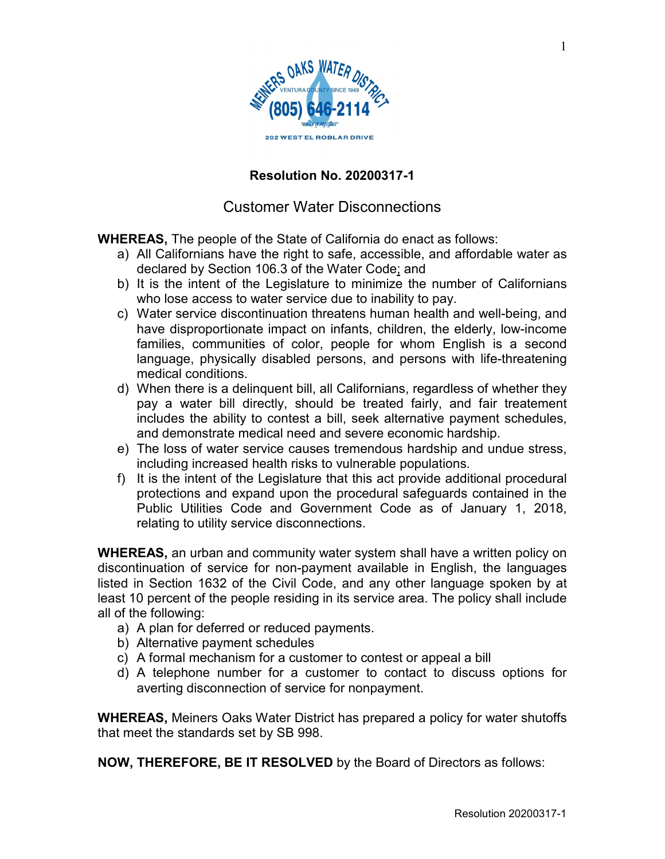

## **Resolution No. 20200317-1**

## Customer Water Disconnections

**WHEREAS,** The people of the State of California do enact as follows:

- a) All Californians have the right to safe, accessible, and affordable water as declared by Section 106.3 of the Water Code; and
- b) It is the intent of the Legislature to minimize the number of Californians who lose access to water service due to inability to pay.
- c) Water service discontinuation threatens human health and well-being, and have disproportionate impact on infants, children, the elderly, low-income families, communities of color, people for whom English is a second language, physically disabled persons, and persons with life-threatening medical conditions.
- d) When there is a delinquent bill, all Californians, regardless of whether they pay a water bill directly, should be treated fairly, and fair treatement includes the ability to contest a bill, seek alternative payment schedules, and demonstrate medical need and severe economic hardship.
- e) The loss of water service causes tremendous hardship and undue stress, including increased health risks to vulnerable populations.
- f) It is the intent of the Legislature that this act provide additional procedural protections and expand upon the procedural safeguards contained in the Public Utilities Code and Government Code as of January 1, 2018, relating to utility service disconnections.

**WHEREAS,** an urban and community water system shall have a written policy on discontinuation of service for non-payment available in English, the languages listed in Section 1632 of the Civil Code, and any other language spoken by at least 10 percent of the people residing in its service area. The policy shall include all of the following:

- a) A plan for deferred or reduced payments.
- b) Alternative payment schedules
- c) A formal mechanism for a customer to contest or appeal a bill
- d) A telephone number for a customer to contact to discuss options for averting disconnection of service for nonpayment.

**WHEREAS,** Meiners Oaks Water District has prepared a policy for water shutoffs that meet the standards set by SB 998.

**NOW, THEREFORE, BE IT RESOLVED** by the Board of Directors as follows: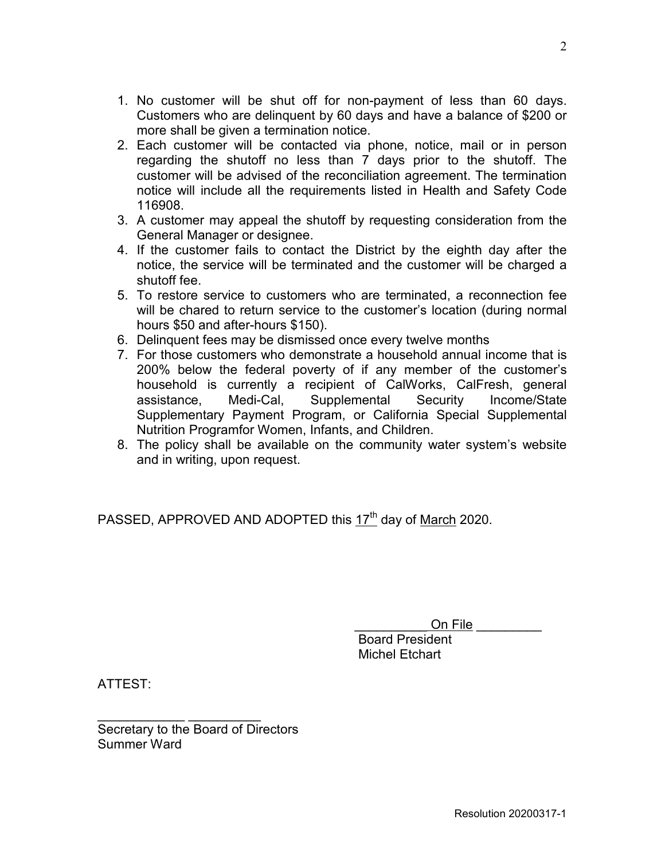- 1. No customer will be shut off for non-payment of less than 60 days. Customers who are delinquent by 60 days and have a balance of \$200 or more shall be given a termination notice.
- 2. Each customer will be contacted via phone, notice, mail or in person regarding the shutoff no less than 7 days prior to the shutoff. The customer will be advised of the reconciliation agreement. The termination notice will include all the requirements listed in Health and Safety Code 116908.
- 3. A customer may appeal the shutoff by requesting consideration from the General Manager or designee.
- 4. If the customer fails to contact the District by the eighth day after the notice, the service will be terminated and the customer will be charged a shutoff fee.
- 5. To restore service to customers who are terminated, a reconnection fee will be chared to return service to the customer's location (during normal hours \$50 and after-hours \$150).
- 6. Delinquent fees may be dismissed once every twelve months
- 7. For those customers who demonstrate a household annual income that is 200% below the federal poverty of if any member of the customer's household is currently a recipient of CalWorks, CalFresh, general assistance, Medi-Cal, Supplemental Security Income/State Supplementary Payment Program, or California Special Supplemental Nutrition Programfor Women, Infants, and Children.
- 8. The policy shall be available on the community water system's website and in writing, upon request.

PASSED, APPROVED AND ADOPTED this 17<sup>th</sup> day of March 2020.

On File **On** 

 Board President Michel Etchart

ATTEST:

 $\frac{1}{2}$  , and the set of the set of the set of the set of the set of the set of the set of the set of the set of the set of the set of the set of the set of the set of the set of the set of the set of the set of the set Secretary to the Board of Directors Summer Ward